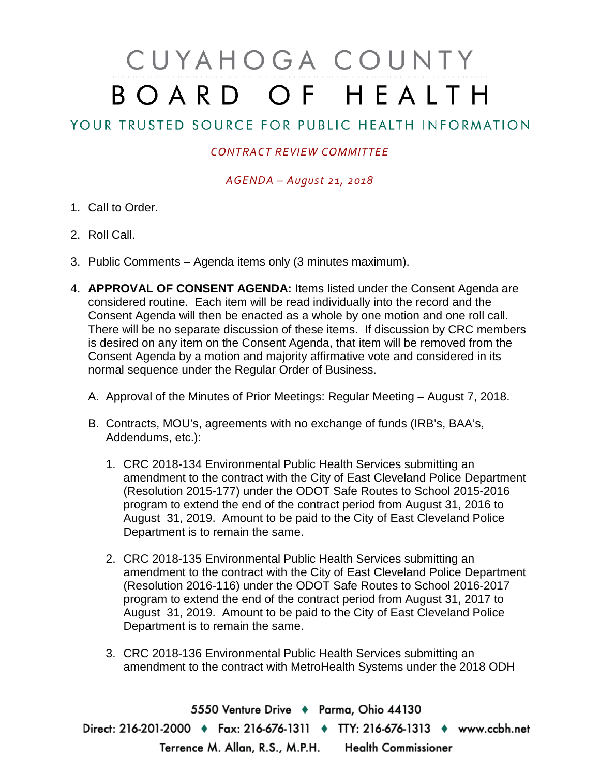# CUYAHOGA COUNTY BOARD OF HEALTH

# YOUR TRUSTED SOURCE FOR PUBLIC HEALTH INFORMATION

## *CONTRACT REVIEW COMMITTEE*

### *AGENDA – August 21, 2018*

- 1. Call to Order.
- 2. Roll Call.
- 3. Public Comments Agenda items only (3 minutes maximum).
- 4. **APPROVAL OF CONSENT AGENDA:** Items listed under the Consent Agenda are considered routine. Each item will be read individually into the record and the Consent Agenda will then be enacted as a whole by one motion and one roll call. There will be no separate discussion of these items. If discussion by CRC members is desired on any item on the Consent Agenda, that item will be removed from the Consent Agenda by a motion and majority affirmative vote and considered in its normal sequence under the Regular Order of Business.
	- A. Approval of the Minutes of Prior Meetings: Regular Meeting August 7, 2018.
	- B. Contracts, MOU's, agreements with no exchange of funds (IRB's, BAA's, Addendums, etc.):
		- 1. CRC 2018-134 Environmental Public Health Services submitting an amendment to the contract with the City of East Cleveland Police Department (Resolution 2015-177) under the ODOT Safe Routes to School 2015-2016 program to extend the end of the contract period from August 31, 2016 to August 31, 2019. Amount to be paid to the City of East Cleveland Police Department is to remain the same.
		- 2. CRC 2018-135 Environmental Public Health Services submitting an amendment to the contract with the City of East Cleveland Police Department (Resolution 2016-116) under the ODOT Safe Routes to School 2016-2017 program to extend the end of the contract period from August 31, 2017 to August 31, 2019. Amount to be paid to the City of East Cleveland Police Department is to remain the same.
		- 3. CRC 2018-136 Environmental Public Health Services submitting an amendment to the contract with MetroHealth Systems under the 2018 ODH

5550 Venture Drive + Parma, Ohio 44130 Direct: 216-201-2000 • Fax: 216-676-1311 • TTY: 216-676-1313 • www.ccbh.net Terrence M. Allan, R.S., M.P.H. Health Commissioner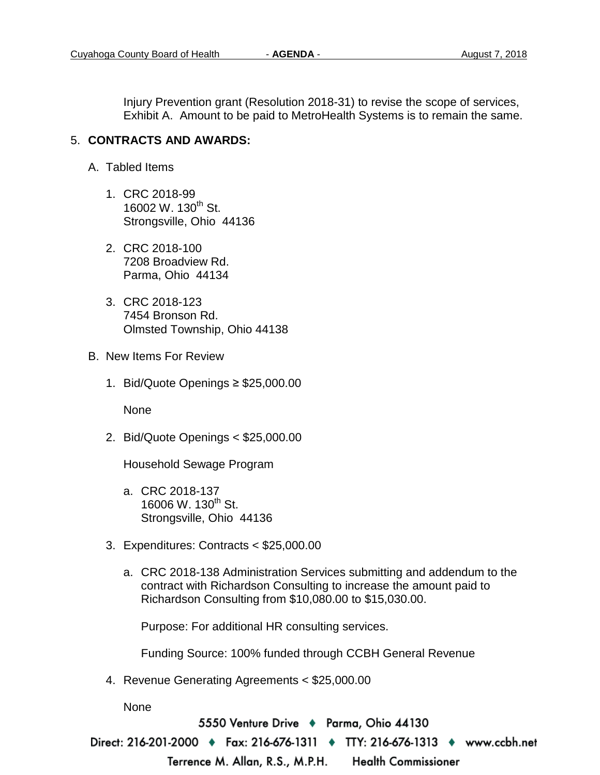Injury Prevention grant (Resolution 2018-31) to revise the scope of services, Exhibit A. Amount to be paid to MetroHealth Systems is to remain the same.

#### 5. **CONTRACTS AND AWARDS:**

- A. Tabled Items
	- 1. CRC 2018-99 16002 W. 130<sup>th</sup> St. Strongsville, Ohio 44136
	- 2. CRC 2018-100 7208 Broadview Rd. Parma, Ohio 44134
	- 3. CRC 2018-123 7454 Bronson Rd. Olmsted Township, Ohio 44138
- B. New Items For Review
	- 1. Bid/Quote Openings ≥ \$25,000.00

None

2. Bid/Quote Openings < \$25,000.00

Household Sewage Program

- a. CRC 2018-137 16006 W. 130<sup>th</sup> St. Strongsville, Ohio 44136
- 3. Expenditures: Contracts < \$25,000.00
	- a. CRC 2018-138 Administration Services submitting and addendum to the contract with Richardson Consulting to increase the amount paid to Richardson Consulting from \$10,080.00 to \$15,030.00.

Purpose: For additional HR consulting services.

Funding Source: 100% funded through CCBH General Revenue

4. Revenue Generating Agreements < \$25,000.00

None

5550 Venture Drive ♦ Parma, Ohio 44130

Direct: 216-201-2000 ♦ Fax: 216-676-1311 ♦ TTY: 216-676-1313 ♦ www.ccbh.net

Terrence M. Allan, R.S., M.P.H. **Health Commissioner**